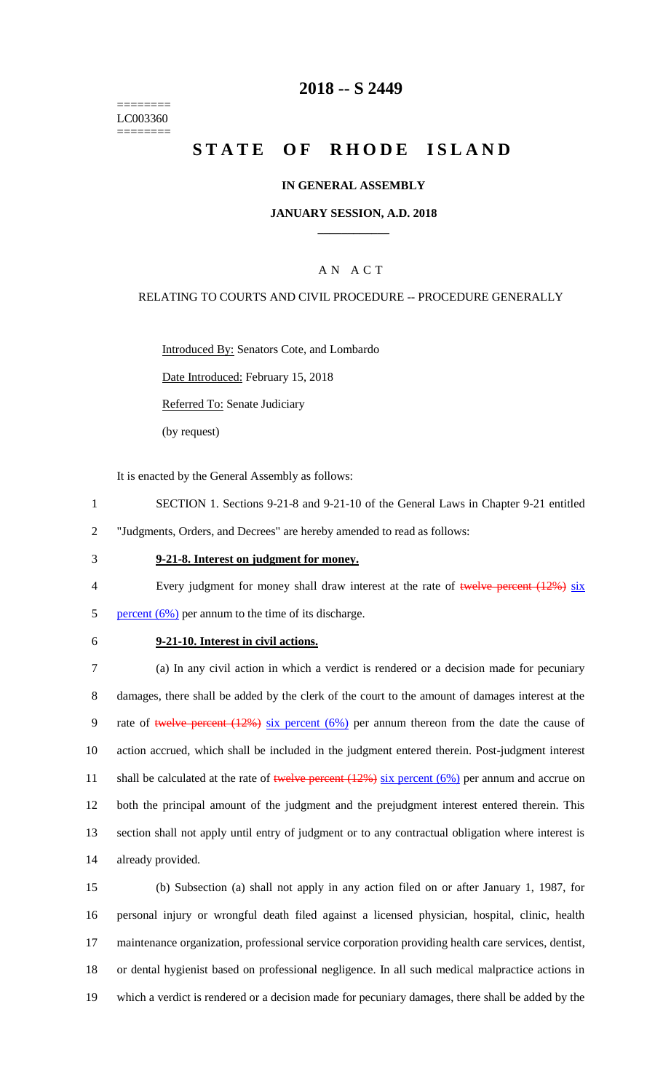======== LC003360 ========

# **2018 -- S 2449**

# **STATE OF RHODE ISLAND**

#### **IN GENERAL ASSEMBLY**

#### **JANUARY SESSION, A.D. 2018 \_\_\_\_\_\_\_\_\_\_\_\_**

### A N A C T

#### RELATING TO COURTS AND CIVIL PROCEDURE -- PROCEDURE GENERALLY

Introduced By: Senators Cote, and Lombardo

Date Introduced: February 15, 2018

Referred To: Senate Judiciary

(by request)

It is enacted by the General Assembly as follows:

- 1 SECTION 1. Sections 9-21-8 and 9-21-10 of the General Laws in Chapter 9-21 entitled
- 2 "Judgments, Orders, and Decrees" are hereby amended to read as follows:
- 3 **9-21-8. Interest on judgment for money.**
- 4 Every judgment for money shall draw interest at the rate of twelve percent (12%) six 5 percent  $(6\%)$  per annum to the time of its discharge.
- 

# 6 **9-21-10. Interest in civil actions.**

 (a) In any civil action in which a verdict is rendered or a decision made for pecuniary damages, there shall be added by the clerk of the court to the amount of damages interest at the 9 rate of twelve percent  $(12\%)$  six percent  $(6\%)$  per annum thereon from the date the cause of action accrued, which shall be included in the judgment entered therein. Post-judgment interest 11 shall be calculated at the rate of twelve percent  $(12\%)$  six percent  $(6\%)$  per annum and accrue on both the principal amount of the judgment and the prejudgment interest entered therein. This section shall not apply until entry of judgment or to any contractual obligation where interest is already provided.

 (b) Subsection (a) shall not apply in any action filed on or after January 1, 1987, for personal injury or wrongful death filed against a licensed physician, hospital, clinic, health maintenance organization, professional service corporation providing health care services, dentist, or dental hygienist based on professional negligence. In all such medical malpractice actions in which a verdict is rendered or a decision made for pecuniary damages, there shall be added by the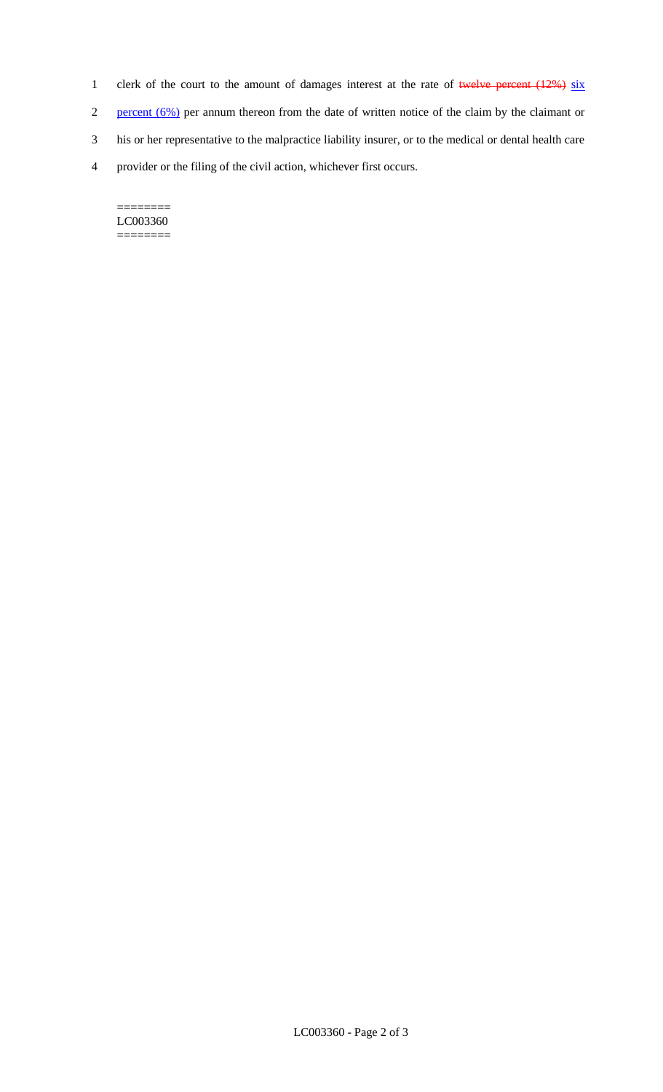- 1 clerk of the court to the amount of damages interest at the rate of twelve percent  $(12%)$  six
- 2 percent (6%) per annum thereon from the date of written notice of the claim by the claimant or
- 3 his or her representative to the malpractice liability insurer, or to the medical or dental health care
- 4 provider or the filing of the civil action, whichever first occurs.

======== LC003360 ========